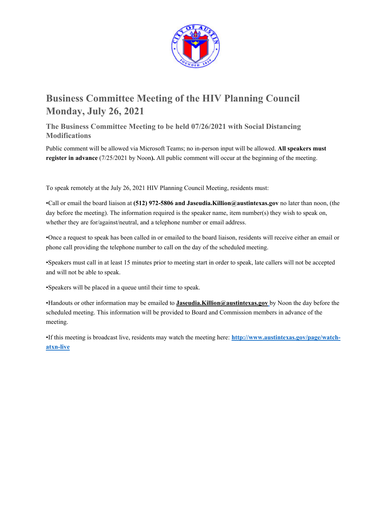

# **Business Committee Meeting of the HIV Planning Council Monday, July 26, 2021**

**The Business Committee Meeting to be held 07/26/2021 with Social Distancing Modifications** 

Public comment will be allowed via Microsoft Teams; no in-person input will be allowed. **All speakers must register in advance** (7/25/2021 by Noon). All public comment will occur at the beginning of the meeting.

To speak remotely at the July 26, 2021 HIV Planning Council Meeting, residents must:

•Call or email the board liaison at **(512) 972-5806 and Jaseudia.Killion@austintexas.gov** no later than noon, (the day before the meeting). The information required is the speaker name, item number(s) they wish to speak on, whether they are for/against/neutral, and a telephone number or email address.

•Once a request to speak has been called in or emailed to the board liaison, residents will receive either an email or phone call providing the telephone number to call on the day of the scheduled meeting.

•Speakers must call in at least 15 minutes prior to meeting start in order to speak, late callers will not be accepted and will not be able to speak.

•Speakers will be placed in a queue until their time to speak.

•Handouts or other information may be emailed to **Jaseudia.Killion@austintexas.gov** by Noon the day before the scheduled meeting. This information will be provided to Board and Commission members in advance of the meeting.

•If this meeting is broadcast live, residents may watch the meeting here: **http://www.austintexas.gov/page/watchatxn-live**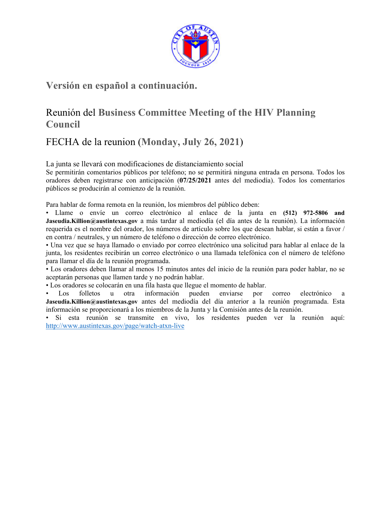

## **Versión en español a continuación.**

## Reunión del **Business Committee Meeting of the HIV Planning Council**

## FECHA de la reunion (**Monday, July 26, 2021**)

La junta se llevará con modificaciones de distanciamiento social

Se permitirán comentarios públicos por teléfono; no se permitirá ninguna entrada en persona. Todos los oradores deben registrarse con anticipación (**07/25/2021** antes del mediodía). Todos los comentarios públicos se producirán al comienzo de la reunión.

Para hablar de forma remota en la reunión, los miembros del público deben:

• Llame o envíe un correo electrónico al enlace de la junta en **(512) 972-5806 and Jaseudia.Killion@austintexas.gov** a más tardar al mediodía (el día antes de la reunión). La información requerida es el nombre del orador, los números de artículo sobre los que desean hablar, si están a favor / en contra / neutrales, y un número de teléfono o dirección de correo electrónico.

• Una vez que se haya llamado o enviado por correo electrónico una solicitud para hablar al enlace de la junta, los residentes recibirán un correo electrónico o una llamada telefónica con el número de teléfono para llamar el día de la reunión programada.

• Los oradores deben llamar al menos 15 minutos antes del inicio de la reunión para poder hablar, no se aceptarán personas que llamen tarde y no podrán hablar.

• Los oradores se colocarán en una fila hasta que llegue el momento de hablar.

• Los folletos u otra información pueden enviarse por correo electrónico a **Jaseudia.Killion@austintexas.gov** antes del mediodía del día anterior a la reunión programada. Esta información se proporcionará a los miembros de la Junta y la Comisión antes de la reunión.

• Si esta reunión se transmite en vivo, los residentes pueden ver la reunión aquí: http://www.austintexas.gov/page/watch-atxn-live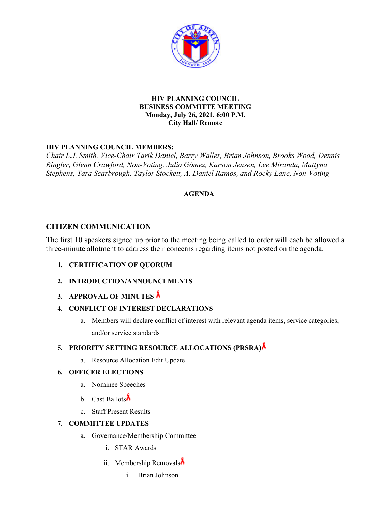

#### **HIV PLANNING COUNCIL BUSINESS COMMITTE MEETING Monday, July 26, 2021, 6:00 P.M. City Hall/ Remote**

## **HIV PLANNING COUNCIL MEMBERS:**

*Chair L.J. Smith, Vice-Chair Tarik Daniel, Barry Waller, Brian Johnson, Brooks Wood, Dennis Ringler, Glenn Crawford, Non-Voting, Julio Gómez, Karson Jensen, Lee Miranda, Mattyna Stephens, Tara Scarbrough, Taylor Stockett, A. Daniel Ramos, and Rocky Lane, Non-Voting* 

### **AGENDA**

## **CITIZEN COMMUNICATION**

The first 10 speakers signed up prior to the meeting being called to order will each be allowed a three-minute allotment to address their concerns regarding items not posted on the agenda.

- **1. CERTIFICATION OF QUORUM**
- **2. INTRODUCTION/ANNOUNCEMENTS**
- **3. APPROVAL OF MINUTES**

#### **4. CONFLICT OF INTEREST DECLARATIONS**

a. Members will declare conflict of interest with relevant agenda items, service categories, and/or service standards

## **5. PRIORITY SETTING RESOURCE ALLOCATIONS (PRSRA)**

a. Resource Allocation Edit Update

#### **6. OFFICER ELECTIONS**

- a. Nominee Speeches
- b. Cast Ballots
- c. Staff Present Results

## **7. COMMITTEE UPDATES**

- a. Governance/Membership Committee
	- i. STAR Awards
	- ii. Membership Removals
		- i. Brian Johnson